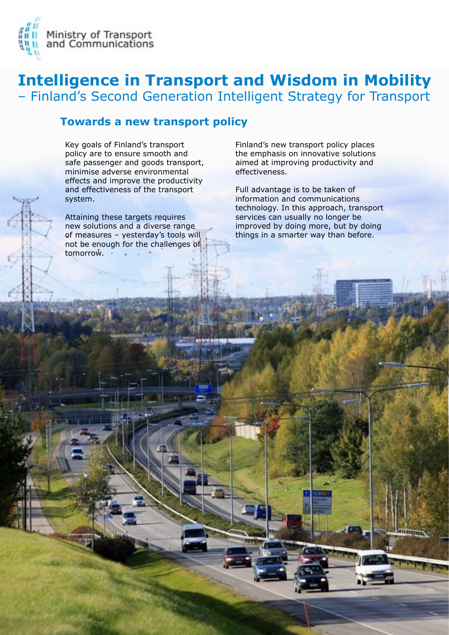



### **Towards a new transport policy**

Key goals of Finland's transport policy are to ensure smooth and safe passenger and goods transport, minimise adverse environmental effects and improve the productivity and effectiveness of the transport system.

Attaining these targets requires new solutions and a diverse range of measures - yesterday's tools will not be enough for the challenges of tomorrow.

Finland's new transport policy places the emphasis on innovative solutions aimed at improving productivity and effectiveness.

Full advantage is to be taken of information and communications technology. In this approach, transport services can usually no longer be improved by doing more, but by doing things in a smarter way than before.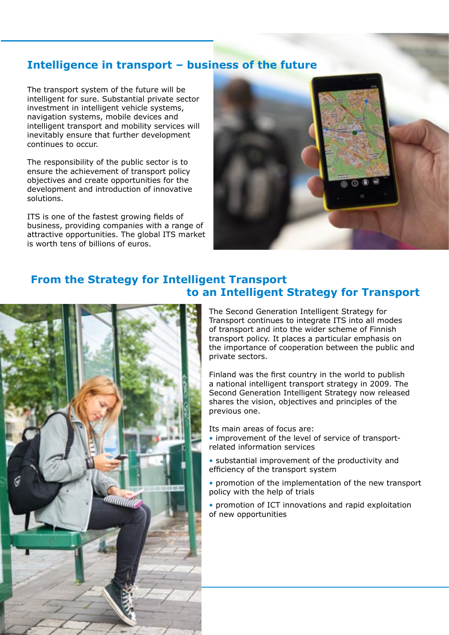### **Intelligence in transport ‒ business of the future**

The transport system of the future will be intelligent for sure. Substantial private sector investment in intelligent vehicle systems, navigation systems, mobile devices and intelligent transport and mobility services will inevitably ensure that further development continues to occur.

The responsibility of the public sector is to ensure the achievement of transport policy objectives and create opportunities for the development and introduction of innovative solutions.

ITS is one of the fastest growing fields of business, providing companies with a range of attractive opportunities. The global ITS market is worth tens of billions of euros.



#### **From the Strategy for Intelligent Transport to an Intelligent Strategy for Transport**



The Second Generation Intelligent Strategy for Transport continues to integrate ITS into all modes of transport and into the wider scheme of Finnish transport policy. It places a particular emphasis on the importance of cooperation between the public and private sectors.

Finland was the first country in the world to publish a national intelligent transport strategy in 2009. The Second Generation Intelligent Strategy now released shares the vision, objectives and principles of the previous one.

Its main areas of focus are:

- improvement of the level of service of transportrelated information services
- substantial improvement of the productivity and efficiency of the transport system
- promotion of the implementation of the new transport policy with the help of trials
- promotion of ICT innovations and rapid exploitation of new opportunities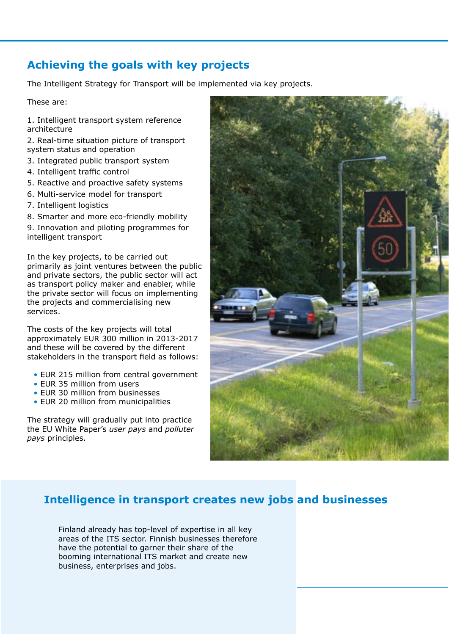## **Achieving the goals with key projects**

The Intelligent Strategy for Transport will be implemented via key projects.

These are:

- 1. Intelligent transport system reference architecture
- 2. Real-time situation picture of transport system status and operation
- 3. Integrated public transport system
- 4. Intelligent traffic control
- 5. Reactive and proactive safety systems
- 6. Multi-service model for transport
- 7. Intelligent logistics
- 8. Smarter and more eco-friendly mobility

9. Innovation and piloting programmes for intelligent transport

In the key projects, to be carried out primarily as joint ventures between the public and private sectors, the public sector will act as transport policy maker and enabler, while the private sector will focus on implementing the projects and commercialising new services.

The costs of the key projects will total approximately EUR 300 million in 2013-2017 and these will be covered by the different stakeholders in the transport field as follows:

- EUR 215 million from central government
- EUR 35 million from users
- EUR 30 million from businesses
- EUR 20 million from municipalities

The strategy will gradually put into practice the EU White Paper's *user pays* and *polluter pays* principles.



## **Intelligence in transport creates new jobs and businesses**

Finland already has top-level of expertise in all key areas of the ITS sector. Finnish businesses therefore have the potential to garner their share of the booming international ITS market and create new business, enterprises and jobs.